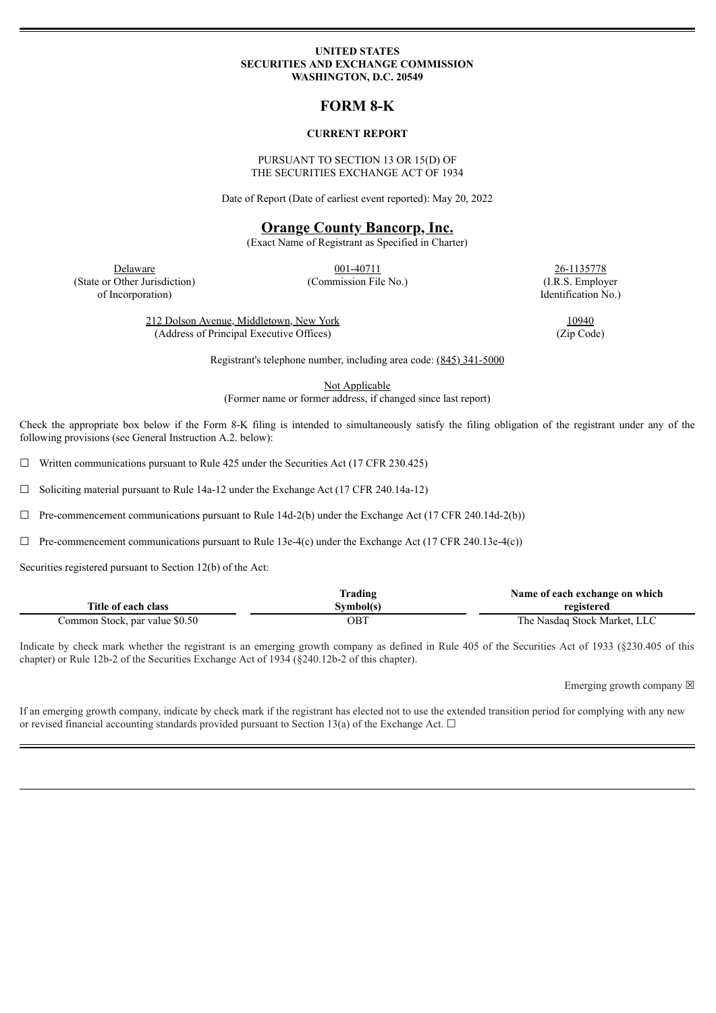#### **UNITED STATES SECURITIES AND EXCHANGE COMMISSION WASHINGTON, D.C. 20549**

# **FORM 8-K**

### **CURRENT REPORT**

### PURSUANT TO SECTION 13 OR 15(D) OF THE SECURITIES EXCHANGE ACT OF 1934

Date of Report (Date of earliest event reported): May 20, 2022

## **Orange County Bancorp, Inc.**

(Exact Name of Registrant as Specified in Charter)

**Delaware** 26-1135778 (State or Other Jurisdiction) (Commission File No.) (I.R.S. Employer of Incorporation) Identification No.)

212 Dolson Avenue, Middletown, New York 10940 (Address of Principal Executive Offices) (Zip Code)

Registrant's telephone number, including area code: (845) 341-5000

Not Applicable

(Former name or former address, if changed since last report)

Check the appropriate box below if the Form 8-K filing is intended to simultaneously satisfy the filing obligation of the registrant under any of the following provisions (see General Instruction A.2. below):

 $\Box$  Written communications pursuant to Rule 425 under the Securities Act (17 CFR 230.425)

☐ Soliciting material pursuant to Rule 14a-12 under the Exchange Act (17 CFR 240.14a-12)

 $\Box$  Pre-commencement communications pursuant to Rule 14d-2(b) under the Exchange Act (17 CFR 240.14d-2(b))

 $\Box$  Pre-commencement communications pursuant to Rule 13e-4(c) under the Exchange Act (17 CFR 240.13e-4(c))

Securities registered pursuant to Section 12(b) of the Act:

|                                | Trading    | Name of each exchange on which |
|--------------------------------|------------|--------------------------------|
| Title of each class            | Svmbol(s)  | registered                     |
| Common Stock, par value \$0.50 | <b>OBT</b> | The Nasdaq Stock Market, LLC   |

Indicate by check mark whether the registrant is an emerging growth company as defined in Rule 405 of the Securities Act of 1933 (§230.405 of this chapter) or Rule 12b-2 of the Securities Exchange Act of 1934 (§240.12b-2 of this chapter).

Emerging growth company  $\boxtimes$ 

If an emerging growth company, indicate by check mark if the registrant has elected not to use the extended transition period for complying with any new or revised financial accounting standards provided pursuant to Section 13(a) of the Exchange Act.  $\Box$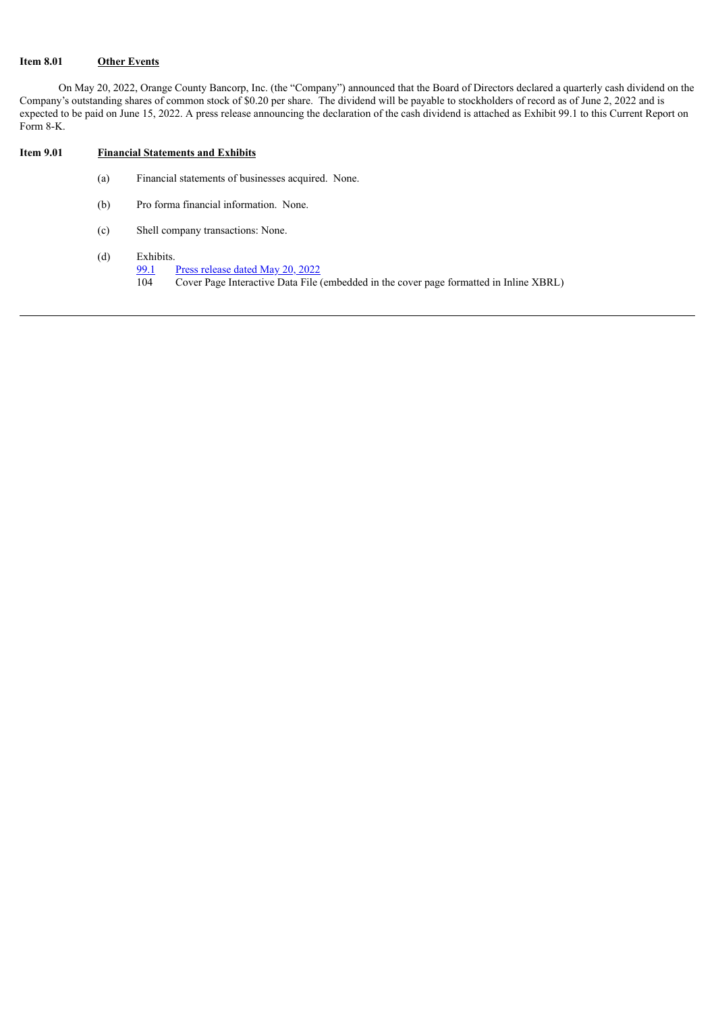## **Item 8.01 Other Events**

On May 20, 2022, Orange County Bancorp, Inc. (the "Company") announced that the Board of Directors declared a quarterly cash dividend on the Company's outstanding shares of common stock of \$0.20 per share. The dividend will be payable to stockholders of record as of June 2, 2022 and is expected to be paid on June 15, 2022. A press release announcing the declaration of the cash dividend is attached as Exhibit 99.1 to this Current Report on Form 8-K.

### **Item 9.01 Financial Statements and Exhibits**

- (a) Financial statements of businesses acquired. None.
- (b) Pro forma financial information. None.
- (c) Shell company transactions: None.
- (d) Exhibits.
	- [99.1](#page-3-0) Press [release](#page-3-0) dated May 20, 2022<br>104 Cover Page Interactive Data File
		- 104 Cover Page Interactive Data File (embedded in the cover page formatted in Inline XBRL)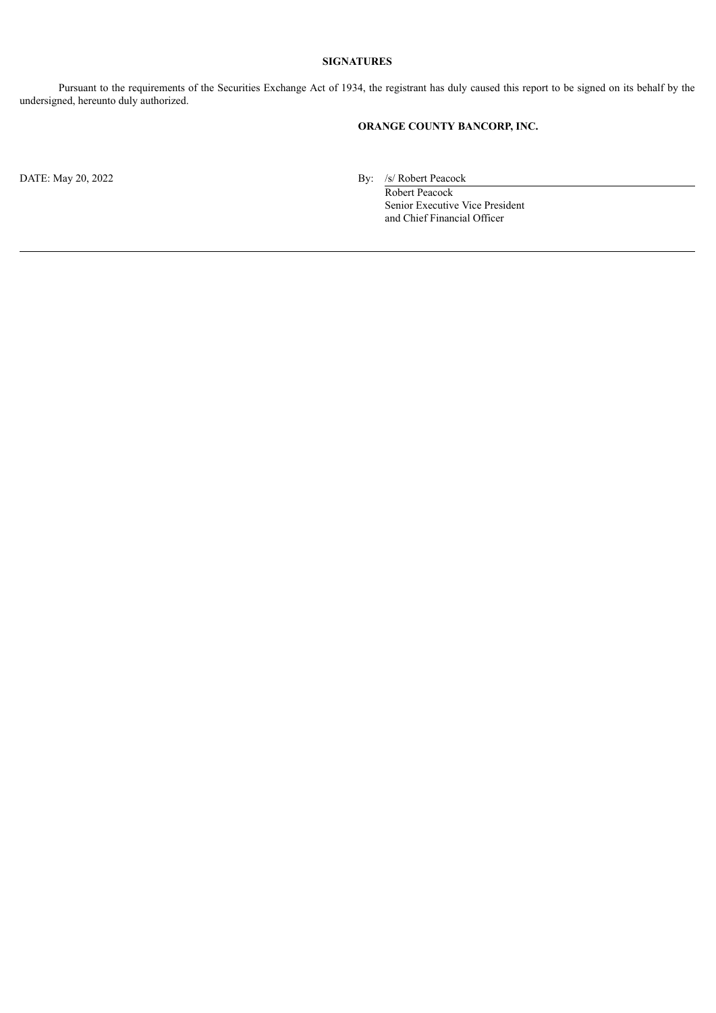## **SIGNATURES**

Pursuant to the requirements of the Securities Exchange Act of 1934, the registrant has duly caused this report to be signed on its behalf by the undersigned, hereunto duly authorized.

# **ORANGE COUNTY BANCORP, INC.**

DATE: May 20, 2022 By: /s/ Robert Peacock

Robert Peacock Senior Executive Vice President and Chief Financial Officer